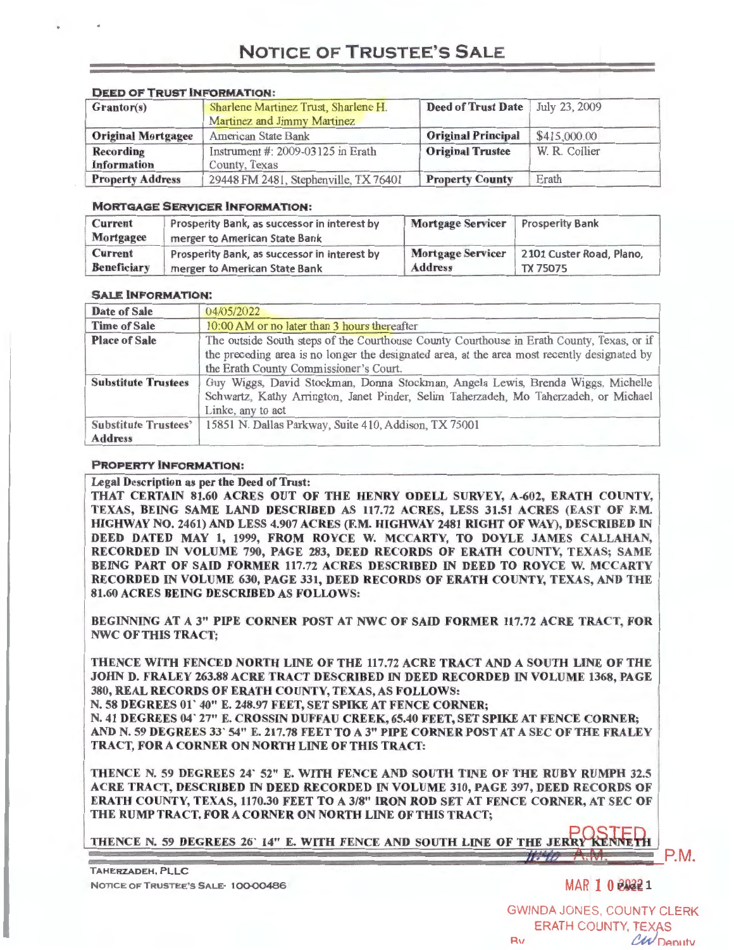## **NOTICE OF TRUSTEE'S SALE**

| <b>DEED OF I RUST INFORMATION:</b> |                                       |                           |               |
|------------------------------------|---------------------------------------|---------------------------|---------------|
| Grantor(s)                         | Sharlene Martinez Trust, Sharlene H.  | <b>Deed of Trust Date</b> | July 23, 2009 |
|                                    | Martinez and Jimmy Martinez           |                           |               |
| <b>Original Mortgagee</b>          | American State Bank                   | <b>Original Principal</b> | \$415,000.00  |
| <b>Recording</b>                   | Instrument $#$ : 2009-03125 in Erath  | <b>Original Trustee</b>   | W. R. Collier |
| <b>Information</b>                 | County, Texas                         |                           |               |
| <b>Property Address</b>            | 29448 FM 2481, Stephenville, TX 76401 | <b>Property County</b>    | Erath         |

### **DEED OF TRUST INFORMATION:**

### **MORTGAGE SERVICER INFORMATION:**

| <b>Current</b>     | Prosperity Bank, as successor in interest by | <b>Mortgage Servicer</b> | <b>Prosperity Bank</b>   |
|--------------------|----------------------------------------------|--------------------------|--------------------------|
| Mortgagee          | merger to American State Bank                |                          |                          |
| <b>Current</b>     | Prosperity Bank, as successor in interest by | <b>Mortgage Servicer</b> | 2101 Custer Road, Plano, |
| <b>Beneficiary</b> | merger to American State Bank                | <b>Address</b>           | <b>TX 75075</b>          |

### **SALE INFORMATION:**

| Date of Sale                | 04/05/2022                                                                                   |  |  |
|-----------------------------|----------------------------------------------------------------------------------------------|--|--|
| <b>Time of Sale</b>         | 10:00 AM or no later than 3 hours thereafter                                                 |  |  |
| <b>Place of Sale</b>        | The outside South steps of the Courthouse County Courthouse in Erath County, Texas, or if    |  |  |
|                             | the preceding area is no longer the designated area, at the area most recently designated by |  |  |
|                             | the Erath County Commissioner's Court.                                                       |  |  |
| <b>Substitute Trustees</b>  | Guy Wiggs, David Stockman, Donna Stockman, Angela Lewis, Brenda Wiggs, Michelle              |  |  |
|                             | Schwartz, Kathy Arrington, Janet Pinder, Selim Taherzadeh, Mo Taherzadeh, or Michael         |  |  |
|                             | Linke, any to act                                                                            |  |  |
| <b>Substitute Trustees'</b> | 15851 N. Dallas Parkway, Suite 410, Addison, TX 75001                                        |  |  |
| <b>Address</b>              |                                                                                              |  |  |

### **PROPERTY INFORMATION:**

Legal Description as per the Deed of Trust: THAT CERTAIN 81.60 ACRES OUT OF THE HENRY ODELL SURVEY, A-602, ERATH COUNTY, TEXAS, BEING SAME LAND DESCRIBED AS 117.72 ACRES, LESS 31.51 ACRES (EAST OF F.M. HIGHWAY NO. 2461) AND LESS 4.907 ACRES (F.M. HIGHWAY 2481 RIGHT OF WAY), DESCRIBED IN DEED DATED MAY 1, 1999, FROM ROYCE W. MCCARTY, TO DOYLE JAMES CALLAHAN, RECORDED IN VOLUME 790, PAGE 283, DEED RECORDS OF ERATH COUNTY, TEXAS; SAME BEING PART OF SAID FORMER 117.72 ACRES DESCRIBED IN DEED TO ROYCE W. MCCARTY RECORDED IN VOLUME 630, PAGE 331, DEED RECORDS OF ERATH COUNTY, TEXAS, AND THE 81.60 ACRES BEING DESCRIBED AS FOLLOWS:

BEGINNING AT A 3" PIPE CORNER POST AT NWC OF SAID FORMER 117.72 ACRE TRACT, FOR NWC OF THIS TRACT;

THENCE WITH FENCED NORTH LINE OF THE 117.72 ACRE TRACT AND A SOUTH LINE OF THE JOHN D. FRALEY 263.88 ACRE TRACT DESCRIBED IN DEED RECORDED IN VOLUME 1368, PAGE 380, REAL RECORDS OF ERATH COUNTY, TEXAS, AS FOLLOWS:

N. 58 DEGREES 01 ' 40" E. 248.97 FEET, SET SPIKE AT FENCE CORNER;

N. 41 DEGREES 04' 27" E. CROSSIN DUFFAU CREEK, 65.40 FEET, SET SPIKE AT FENCE CORNER; AND N. 59 DEGREES 33' 54" E. 217.78 FEET TO A3" PIPE CORNER POST AT A SEC OF THE FRALEY TRACT, FOR A CORNER ON NORTH LINE OF THIS TRACT:

THENCE N. 59 DEGREES 24' 52" E. WITH FENCE AND SOUTH TINE OF THE RUBY RUMPH 32.5 ACRE TRACT, DESCRIBED IN DEED RECORDED IN VOLUME 310, PAGE 397, DEED RECORDS OF ERATH COUNTY, TEXAS, 1170.30 FEET TO A 3/8" IRON ROD SET AT FENCE CORNER, AT SEC OF THE RUMP TRACT, FOR A CORNER ON NORTH LINE OF THIS TRACT;

THENCE N. 59 DEGREES 26' 14" E. WITH FENCE AND SOUTH LINE OF THE JERRY KENNETH

TAHERZADEH, PLLC NOTICE OF TRUSTEE'S SALE-100-00486 MAR 1 0  $\theta$ 

 $H - 10$ 

P.M.

GWINDA JONES, COUNTY CLERK ERATH COUNTY, TEXAS Ry CW Deputy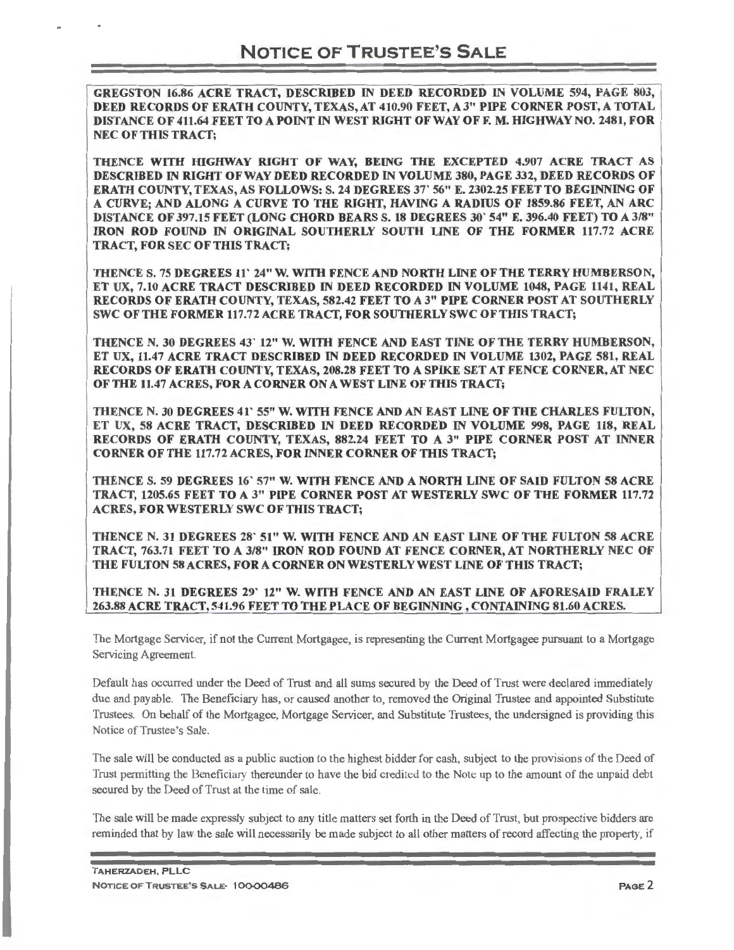GREGSTON 16.86 ACRE TRACT, DESCRIBED IN DEED RECORDED IN VOLUME 594, PAGE 803, DEED RECORDS OF ERATH COUNTY, TEXAS, AT 410.90 FEET, A 3" PIPE CORNER POST, A TOTAL DISTANCE OF 411.64 FEET TO A POINT IN WEST RIGHT OF WAY OFF. M. HIGHWAY NO. 2481, FOR NEC OF THIS TRACT;

THENCE WITH HIGHWAY RIGHT OF WAY, BEING THE EXCEPTED 4.907 ACRE TRACT AS DESCRIBED IN RIGHT OF WAY DEED RECORDED IN VOLUME 380, PAGE 332, DEED RECORDS OF ERATH COUNTY, TEXAS, AS FOLLOWS: S. 24 DEGREES 37' 56" E. 2302.25 FEET TO BEGINNING OF A CURVE; AND ALONG A CURVE TO THE RIGHT, HAVING A RADIUS OF 1859.86 FEET, AN ARC DISTANCE OF 397.15 FEET (LONG CHORD BEARS S. 18 DEGREES 30' 54" E. 396.40 FEET) TO A 3/8" IRON ROD FOUND IN ORIGINAL SOUTHERLY SOUTH LINE OF THE FORMER 117.72 ACRE TRACT, FOR SEC OF THIS TRACT;

THENCE S. 75 DEGREES 11' 24" W. WITH FENCE AND NORTH LINE OF THE TERRY HUMBERSON, ET UX, 7.10 ACRE TRACT DESCRIBED IN DEED RECORDED IN VOLUME 1048, PAGE 1141, REAL RECORDS OF ERATH COUNTY, TEXAS, 582.42 FEET TO A 3" PIPE CORNER POST AT SOUTHERLY SWC OF THE FORMER 117.72 ACRE TRACT, FOR SOUTHERLY SWC OF THIS TRACT;

THENCE N. 30 DEGREES 43' 12" W. WITH FENCE AND EAST TINE OF THE TERRY HUMBERSON, ET UX, 11.47 ACRE TRACT DESCRIBED IN DEED RECORDED IN VOLUME 1302, PAGE 581 , REAL RECORDS OF ERATH COUNTY, TEXAS, 208.28 FEET TO A SPIKE SET AT FENCE CORNER, AT NEC OF THE 11.47 ACRES, FOR A CORNER ON A WEST LINE OF THIS TRACT;

THENCE N. 30 DEGREES 41' 55" W. WITH FENCE AND AN EAST LINE OF THE CHARLES FULTON, ET UX, 58 ACRE TRACT, DESCRIBED IN DEED RECORDED IN VOLUME 998, PAGE 118, REAL RECORDS OF ERATH COUNTY, TEXAS, 882.24 FEET TO A 3" PIPE CORNER POST AT INNER CORNER OF THE 117.72 ACRES, FOR INNER CORNER OF THIS TRACT;

THENCE S. 59 DEGREES 16' 57" W. WITH FENCE AND A NORTH LINE OF SAID FULTON 58 ACRE TRACT, 1205.65 FEET TO A 3" PIPE CORNER POST AT WESTERLY SWC OF THE FORMER 117.72 ACRES, FOR WESTERLY SWC OF THIS TRACT;

THENCE N. 31 DEGREES 28' 51" **W. WITH** FENCE AND AN EAST LINE OF THE FULTON 58 ACRE **TRACT, 763.71 FEET TO A 3/8" IRON ROD FOUND AT FENCE CORNER, AT NORTHERLY NEC OF THE FULTON 58 ACRES, FOR A CORNER ON WESTERLY WEST LINE OF THIS TRACT;** 

**THENCE N. 31 DEGREES 29' 12" W. WITH FENCE AND AN EAST LINE OF AFORESAID FRALEY 263.88 ACRE TRACT, 541.96 FEET TO THE PLACE OF BEGINNING, CONTAINING 81.60 ACRES.** 

The Mortgage Servicer, if not the Current Mortgagee, is representing the Current Mortgagee pursuant to a Mortgage Servicing Agreement.

Default has occurred under the Deed of Trust and all sums secured by the Deed of Trust were declared immediately due and payable. The Beneficiary has, or caused another to, removed the Original Trustee and appointed Substitute Trustees. On behalf of the Mortgagee, Mortgage Servicer, and Substitute Trustees, the undersigned is providing this Notice of Trustee's Sale.

The sale will be conducted as a public auction to the highest bidder for cash, subject to the provisions of the Deed of Trust permitting the Beneficiary thereunder to have the bid credited to the N<sub>9te</sub> up to the amount of the unpaid debt secured by the Deed of Trust at the time of sale.

The sale will be made expressly subject to any title matters set forth in the Deed of Trust, but prospective bidders are reminded that by law the sale will necessarily be made subject to all other matters of record affecting the property, if